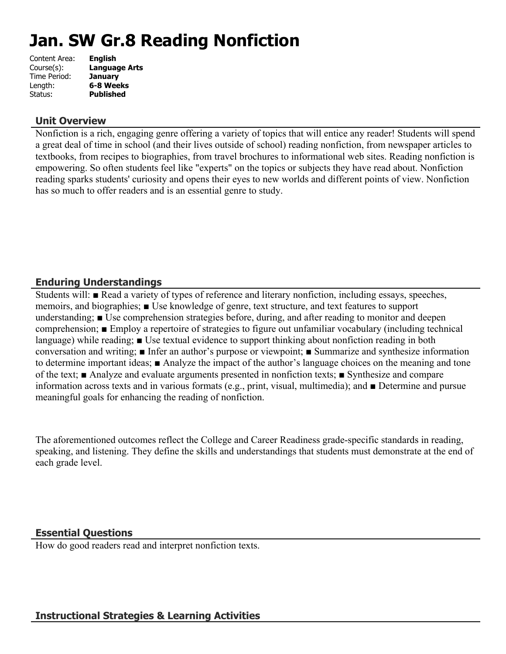# **Jan. SW Gr.8 Reading Nonfiction**

| Content Area: | <b>English</b>       |
|---------------|----------------------|
| Course(s):    | <b>Language Arts</b> |
| Time Period:  | <b>January</b>       |
| Length:       | 6-8 Weeks            |
| Status:       | <b>Published</b>     |
|               |                      |

## **Unit Overview**

Nonfiction is a rich, engaging genre offering a variety of topics that will entice any reader! Students will spend a great deal of time in school (and their lives outside of school) reading nonfiction, from newspaper articles to textbooks, from recipes to biographies, from travel brochures to informational web sites. Reading nonfiction is empowering. So often students feel like "experts" on the topics or subjects they have read about. Nonfiction reading sparks students' curiosity and opens their eyes to new worlds and different points of view. Nonfiction has so much to offer readers and is an essential genre to study.

## **Enduring Understandings**

Students will: ■ Read a variety of types of reference and literary nonfiction, including essays, speeches, memoirs, and biographies; ■ Use knowledge of genre, text structure, and text features to support understanding; ■ Use comprehension strategies before, during, and after reading to monitor and deepen comprehension; ■ Employ a repertoire of strategies to figure out unfamiliar vocabulary (including technical language) while reading; ■ Use textual evidence to support thinking about nonfiction reading in both conversation and writing; ■ Infer an author's purpose or viewpoint; ■ Summarize and synthesize information to determine important ideas; ■ Analyze the impact of the author's language choices on the meaning and tone of the text; ■ Analyze and evaluate arguments presented in nonfiction texts; ■ Synthesize and compare information across texts and in various formats (e.g., print, visual, multimedia); and ■ Determine and pursue meaningful goals for enhancing the reading of nonfiction.

The aforementioned outcomes reflect the College and Career Readiness grade-specific standards in reading, speaking, and listening. They define the skills and understandings that students must demonstrate at the end of each grade level.

## **Essential Questions**

How do good readers read and interpret nonfiction texts.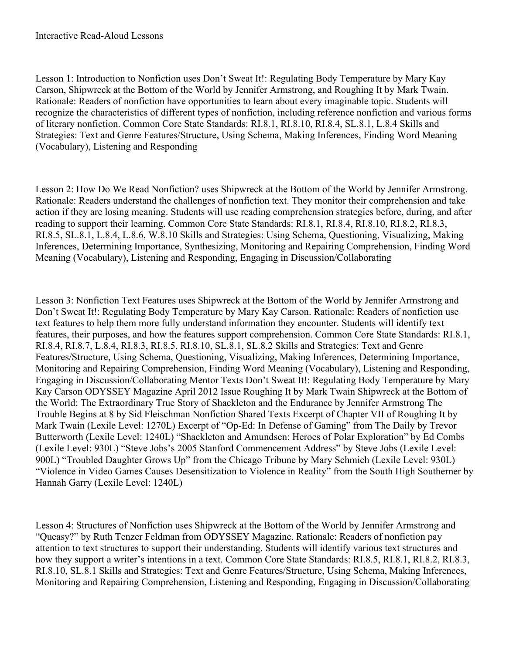Lesson 1: Introduction to Nonfiction uses Don't Sweat It!: Regulating Body Temperature by Mary Kay Carson, Shipwreck at the Bottom of the World by Jennifer Armstrong, and Roughing It by Mark Twain. Rationale: Readers of nonfiction have opportunities to learn about every imaginable topic. Students will recognize the characteristics of different types of nonfiction, including reference nonfiction and various forms of literary nonfiction. Common Core State Standards: RI.8.1, RI.8.10, RI.8.4, SL.8.1, L.8.4 Skills and Strategies: Text and Genre Features/Structure, Using Schema, Making Inferences, Finding Word Meaning (Vocabulary), Listening and Responding

Lesson 2: How Do We Read Nonfiction? uses Shipwreck at the Bottom of the World by Jennifer Armstrong. Rationale: Readers understand the challenges of nonfiction text. They monitor their comprehension and take action if they are losing meaning. Students will use reading comprehension strategies before, during, and after reading to support their learning. Common Core State Standards: RI.8.1, RI.8.4, RI.8.10, RI.8.2, RI.8.3, RI.8.5, SL.8.1, L.8.4, L.8.6, W.8.10 Skills and Strategies: Using Schema, Questioning, Visualizing, Making Inferences, Determining Importance, Synthesizing, Monitoring and Repairing Comprehension, Finding Word Meaning (Vocabulary), Listening and Responding, Engaging in Discussion/Collaborating

Lesson 3: Nonfiction Text Features uses Shipwreck at the Bottom of the World by Jennifer Armstrong and Don't Sweat It!: Regulating Body Temperature by Mary Kay Carson. Rationale: Readers of nonfiction use text features to help them more fully understand information they encounter. Students will identify text features, their purposes, and how the features support comprehension. Common Core State Standards: RI.8.1, RI.8.4, RI.8.7, L.8.4, RI.8.3, RI.8.5, RI.8.10, SL.8.1, SL.8.2 Skills and Strategies: Text and Genre Features/Structure, Using Schema, Questioning, Visualizing, Making Inferences, Determining Importance, Monitoring and Repairing Comprehension, Finding Word Meaning (Vocabulary), Listening and Responding, Engaging in Discussion/Collaborating Mentor Texts Don't Sweat It!: Regulating Body Temperature by Mary Kay Carson ODYSSEY Magazine April 2012 Issue Roughing It by Mark Twain Shipwreck at the Bottom of the World: The Extraordinary True Story of Shackleton and the Endurance by Jennifer Armstrong The Trouble Begins at 8 by Sid Fleischman Nonfiction Shared Texts Excerpt of Chapter VII of Roughing It by Mark Twain (Lexile Level: 1270L) Excerpt of "Op-Ed: In Defense of Gaming" from The Daily by Trevor Butterworth (Lexile Level: 1240L) "Shackleton and Amundsen: Heroes of Polar Exploration" by Ed Combs (Lexile Level: 930L) "Steve Jobs's 2005 Stanford Commencement Address" by Steve Jobs (Lexile Level: 900L) "Troubled Daughter Grows Up" from the Chicago Tribune by Mary Schmich (Lexile Level: 930L) "Violence in Video Games Causes Desensitization to Violence in Reality" from the South High Southerner by Hannah Garry (Lexile Level: 1240L)

Lesson 4: Structures of Nonfiction uses Shipwreck at the Bottom of the World by Jennifer Armstrong and "Queasy?" by Ruth Tenzer Feldman from ODYSSEY Magazine. Rationale: Readers of nonfiction pay attention to text structures to support their understanding. Students will identify various text structures and how they support a writer's intentions in a text. Common Core State Standards: RI.8.5, RI.8.1, RI.8.2, RI.8.3, RI.8.10, SL.8.1 Skills and Strategies: Text and Genre Features/Structure, Using Schema, Making Inferences, Monitoring and Repairing Comprehension, Listening and Responding, Engaging in Discussion/Collaborating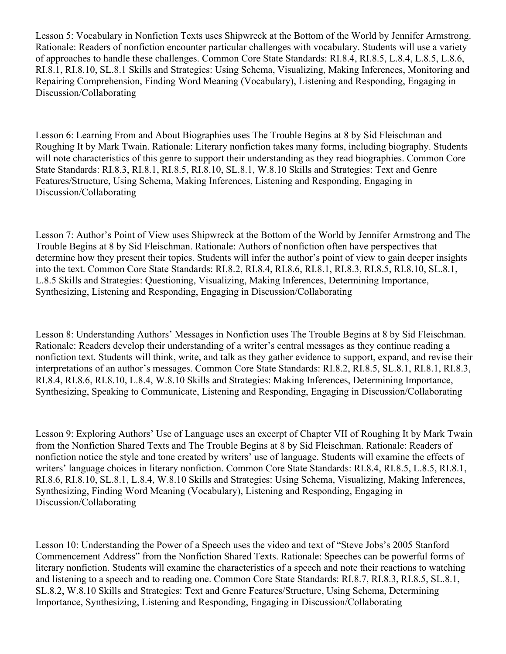Lesson 5: Vocabulary in Nonfiction Texts uses Shipwreck at the Bottom of the World by Jennifer Armstrong. Rationale: Readers of nonfiction encounter particular challenges with vocabulary. Students will use a variety of approaches to handle these challenges. Common Core State Standards: RI.8.4, RI.8.5, L.8.4, L.8.5, L.8.6, RI.8.1, RI.8.10, SL.8.1 Skills and Strategies: Using Schema, Visualizing, Making Inferences, Monitoring and Repairing Comprehension, Finding Word Meaning (Vocabulary), Listening and Responding, Engaging in Discussion/Collaborating

Lesson 6: Learning From and About Biographies uses The Trouble Begins at 8 by Sid Fleischman and Roughing It by Mark Twain. Rationale: Literary nonfiction takes many forms, including biography. Students will note characteristics of this genre to support their understanding as they read biographies. Common Core State Standards: RI.8.3, RI.8.1, RI.8.5, RI.8.10, SL.8.1, W.8.10 Skills and Strategies: Text and Genre Features/Structure, Using Schema, Making Inferences, Listening and Responding, Engaging in Discussion/Collaborating

Lesson 7: Author's Point of View uses Shipwreck at the Bottom of the World by Jennifer Armstrong and The Trouble Begins at 8 by Sid Fleischman. Rationale: Authors of nonfiction often have perspectives that determine how they present their topics. Students will infer the author's point of view to gain deeper insights into the text. Common Core State Standards: RI.8.2, RI.8.4, RI.8.6, RI.8.1, RI.8.3, RI.8.5, RI.8.10, SL.8.1, L.8.5 Skills and Strategies: Questioning, Visualizing, Making Inferences, Determining Importance, Synthesizing, Listening and Responding, Engaging in Discussion/Collaborating

Lesson 8: Understanding Authors' Messages in Nonfiction uses The Trouble Begins at 8 by Sid Fleischman. Rationale: Readers develop their understanding of a writer's central messages as they continue reading a nonfiction text. Students will think, write, and talk as they gather evidence to support, expand, and revise their interpretations of an author's messages. Common Core State Standards: RI.8.2, RI.8.5, SL.8.1, RI.8.1, RI.8.3, RI.8.4, RI.8.6, RI.8.10, L.8.4, W.8.10 Skills and Strategies: Making Inferences, Determining Importance, Synthesizing, Speaking to Communicate, Listening and Responding, Engaging in Discussion/Collaborating

Lesson 9: Exploring Authors' Use of Language uses an excerpt of Chapter VII of Roughing It by Mark Twain from the Nonfiction Shared Texts and The Trouble Begins at 8 by Sid Fleischman. Rationale: Readers of nonfiction notice the style and tone created by writers' use of language. Students will examine the effects of writers' language choices in literary nonfiction. Common Core State Standards: RI.8.4, RI.8.5, L.8.5, RI.8.1, RI.8.6, RI.8.10, SL.8.1, L.8.4, W.8.10 Skills and Strategies: Using Schema, Visualizing, Making Inferences, Synthesizing, Finding Word Meaning (Vocabulary), Listening and Responding, Engaging in Discussion/Collaborating

Lesson 10: Understanding the Power of a Speech uses the video and text of "Steve Jobs's 2005 Stanford Commencement Address" from the Nonfiction Shared Texts. Rationale: Speeches can be powerful forms of literary nonfiction. Students will examine the characteristics of a speech and note their reactions to watching and listening to a speech and to reading one. Common Core State Standards: RI.8.7, RI.8.3, RI.8.5, SL.8.1, SL.8.2, W.8.10 Skills and Strategies: Text and Genre Features/Structure, Using Schema, Determining Importance, Synthesizing, Listening and Responding, Engaging in Discussion/Collaborating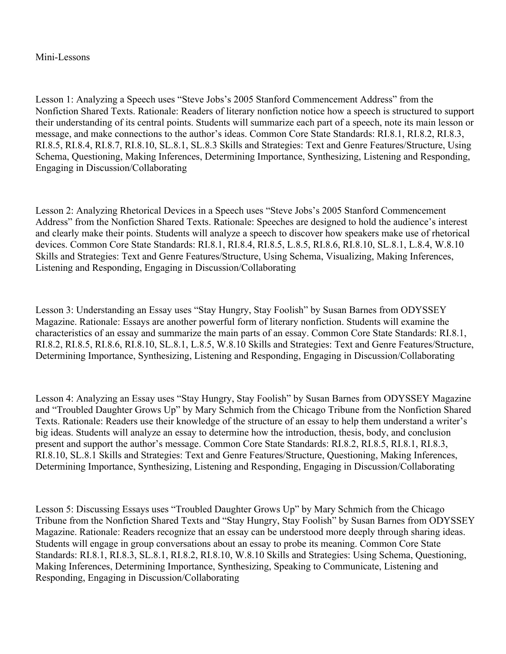#### Mini-Lessons

Lesson 1: Analyzing a Speech uses "Steve Jobs's 2005 Stanford Commencement Address" from the Nonfiction Shared Texts. Rationale: Readers of literary nonfiction notice how a speech is structured to support their understanding of its central points. Students will summarize each part of a speech, note its main lesson or message, and make connections to the author's ideas. Common Core State Standards: RI.8.1, RI.8.2, RI.8.3, RI.8.5, RI.8.4, RI.8.7, RI.8.10, SL.8.1, SL.8.3 Skills and Strategies: Text and Genre Features/Structure, Using Schema, Questioning, Making Inferences, Determining Importance, Synthesizing, Listening and Responding, Engaging in Discussion/Collaborating

Lesson 2: Analyzing Rhetorical Devices in a Speech uses "Steve Jobs's 2005 Stanford Commencement Address" from the Nonfiction Shared Texts. Rationale: Speeches are designed to hold the audience's interest and clearly make their points. Students will analyze a speech to discover how speakers make use of rhetorical devices. Common Core State Standards: RI.8.1, RI.8.4, RI.8.5, L.8.5, RI.8.6, RI.8.10, SL.8.1, L.8.4, W.8.10 Skills and Strategies: Text and Genre Features/Structure, Using Schema, Visualizing, Making Inferences, Listening and Responding, Engaging in Discussion/Collaborating

Lesson 3: Understanding an Essay uses "Stay Hungry, Stay Foolish" by Susan Barnes from ODYSSEY Magazine. Rationale: Essays are another powerful form of literary nonfiction. Students will examine the characteristics of an essay and summarize the main parts of an essay. Common Core State Standards: RI.8.1, RI.8.2, RI.8.5, RI.8.6, RI.8.10, SL.8.1, L.8.5, W.8.10 Skills and Strategies: Text and Genre Features/Structure, Determining Importance, Synthesizing, Listening and Responding, Engaging in Discussion/Collaborating

Lesson 4: Analyzing an Essay uses "Stay Hungry, Stay Foolish" by Susan Barnes from ODYSSEY Magazine and "Troubled Daughter Grows Up" by Mary Schmich from the Chicago Tribune from the Nonfiction Shared Texts. Rationale: Readers use their knowledge of the structure of an essay to help them understand a writer's big ideas. Students will analyze an essay to determine how the introduction, thesis, body, and conclusion present and support the author's message. Common Core State Standards: RI.8.2, RI.8.5, RI.8.1, RI.8.3, RI.8.10, SL.8.1 Skills and Strategies: Text and Genre Features/Structure, Questioning, Making Inferences, Determining Importance, Synthesizing, Listening and Responding, Engaging in Discussion/Collaborating

Lesson 5: Discussing Essays uses "Troubled Daughter Grows Up" by Mary Schmich from the Chicago Tribune from the Nonfiction Shared Texts and "Stay Hungry, Stay Foolish" by Susan Barnes from ODYSSEY Magazine. Rationale: Readers recognize that an essay can be understood more deeply through sharing ideas. Students will engage in group conversations about an essay to probe its meaning. Common Core State Standards: RI.8.1, RI.8.3, SL.8.1, RI.8.2, RI.8.10, W.8.10 Skills and Strategies: Using Schema, Questioning, Making Inferences, Determining Importance, Synthesizing, Speaking to Communicate, Listening and Responding, Engaging in Discussion/Collaborating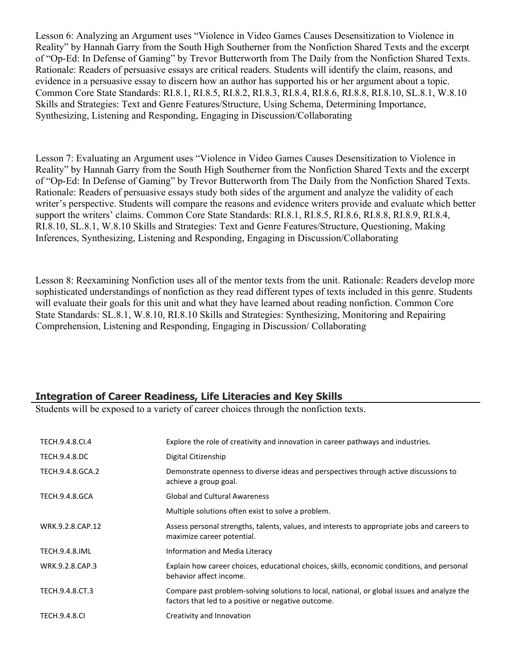Lesson 6: Analyzing an Argument uses "Violence in Video Games Causes Desensitization to Violence in Reality" by Hannah Garry from the South High Southerner from the Nonfiction Shared Texts and the excerpt of "Op-Ed: In Defense of Gaming" by Trevor Butterworth from The Daily from the Nonfiction Shared Texts. Rationale: Readers of persuasive essays are critical readers. Students will identify the claim, reasons, and evidence in a persuasive essay to discern how an author has supported his or her argument about a topic. Common Core State Standards: RI.8.1, RI.8.5, RI.8.2, RI.8.3, RI.8.4, RI.8.6, RI.8.8, RI.8.10, SL.8.1, W.8.10 Skills and Strategies: Text and Genre Features/Structure, Using Schema, Determining Importance, Synthesizing, Listening and Responding, Engaging in Discussion/Collaborating

Lesson 7: Evaluating an Argument uses "Violence in Video Games Causes Desensitization to Violence in Reality" by Hannah Garry from the South High Southerner from the Nonfiction Shared Texts and the excerpt of "Op-Ed: In Defense of Gaming" by Trevor Butterworth from The Daily from the Nonfiction Shared Texts. Rationale: Readers of persuasive essays study both sides of the argument and analyze the validity of each writer's perspective. Students will compare the reasons and evidence writers provide and evaluate which better support the writers' claims. Common Core State Standards: RI.8.1, RI.8.5, RI.8.6, RI.8.8, RI.8.9, RI.8.4, RI.8.10, SL.8.1, W.8.10 Skills and Strategies: Text and Genre Features/Structure, Questioning, Making Inferences, Synthesizing, Listening and Responding, Engaging in Discussion/Collaborating

Lesson 8: Reexamining Nonfiction uses all of the mentor texts from the unit. Rationale: Readers develop more sophisticated understandings of nonfiction as they read different types of texts included in this genre. Students will evaluate their goals for this unit and what they have learned about reading nonfiction. Common Core State Standards: SL.8.1, W.8.10, RI.8.10 Skills and Strategies: Synthesizing, Monitoring and Repairing Comprehension, Listening and Responding, Engaging in Discussion/ Collaborating

## **Integration of Career Readiness, Life Literacies and Key Skills**

Students will be exposed to a variety of career choices through the nonfiction texts.

| TECH.9.4.8.CI.4       | Explore the role of creativity and innovation in career pathways and industries.                                                                   |
|-----------------------|----------------------------------------------------------------------------------------------------------------------------------------------------|
| TECH.9.4.8.DC         | Digital Citizenship                                                                                                                                |
| TECH.9.4.8.GCA.2      | Demonstrate openness to diverse ideas and perspectives through active discussions to<br>achieve a group goal.                                      |
| <b>TECH.9.4.8.GCA</b> | <b>Global and Cultural Awareness</b>                                                                                                               |
|                       | Multiple solutions often exist to solve a problem.                                                                                                 |
| WRK.9.2.8.CAP.12      | Assess personal strengths, talents, values, and interests to appropriate jobs and careers to<br>maximize career potential.                         |
| <b>TECH.9.4.8.IML</b> | Information and Media Literacy                                                                                                                     |
| WRK.9.2.8.CAP.3       | Explain how career choices, educational choices, skills, economic conditions, and personal<br>behavior affect income.                              |
| TECH.9.4.8.CT.3       | Compare past problem-solving solutions to local, national, or global issues and analyze the<br>factors that led to a positive or negative outcome. |
| <b>TECH.9.4.8.CI</b>  | Creativity and Innovation                                                                                                                          |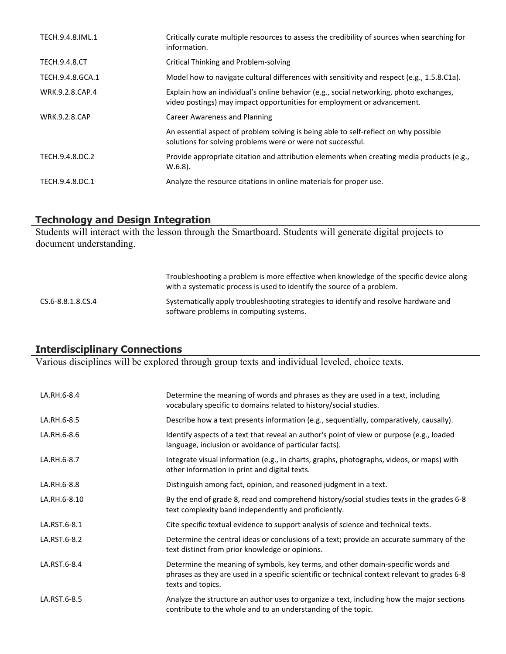| TECH.9.4.8.IML.1     | Critically curate multiple resources to assess the credibility of sources when searching for<br>information.                                                      |
|----------------------|-------------------------------------------------------------------------------------------------------------------------------------------------------------------|
| <b>TECH.9.4.8.CT</b> | Critical Thinking and Problem-solving                                                                                                                             |
| TECH.9.4.8.GCA.1     | Model how to navigate cultural differences with sensitivity and respect (e.g., 1.5.8.C1a).                                                                        |
| WRK.9.2.8.CAP.4      | Explain how an individual's online behavior (e.g., social networking, photo exchanges,<br>video postings) may impact opportunities for employment or advancement. |
| <b>WRK.9.2.8.CAP</b> | Career Awareness and Planning                                                                                                                                     |
|                      | An essential aspect of problem solving is being able to self-reflect on why possible<br>solutions for solving problems were or were not successful.               |
| TECH.9.4.8.DC.2      | Provide appropriate citation and attribution elements when creating media products (e.g.,<br>$W.6.8$ ).                                                           |
| TECH.9.4.8.DC.1      | Analyze the resource citations in online materials for proper use.                                                                                                |

## **Technology and Design Integration**

Students will interact with the lesson through the Smartboard. Students will generate digital projects to document understanding.

|                   | Troubleshooting a problem is more effective when knowledge of the specific device along<br>with a systematic process is used to identify the source of a problem. |
|-------------------|-------------------------------------------------------------------------------------------------------------------------------------------------------------------|
| CS.6-8.8.1.8.CS.4 | Systematically apply troubleshooting strategies to identify and resolve hardware and<br>software problems in computing systems.                                   |

## **Interdisciplinary Connections**

Various disciplines will be explored through group texts and individual leveled, choice texts.

| LA.RH.6-8.4  | Determine the meaning of words and phrases as they are used in a text, including<br>vocabulary specific to domains related to history/social studies.                                                  |
|--------------|--------------------------------------------------------------------------------------------------------------------------------------------------------------------------------------------------------|
| LA.RH.6-8.5  | Describe how a text presents information (e.g., sequentially, comparatively, causally).                                                                                                                |
| LA.RH.6-8.6  | Identify aspects of a text that reveal an author's point of view or purpose (e.g., loaded<br>language, inclusion or avoidance of particular facts).                                                    |
| LA.RH.6-8.7  | Integrate visual information (e.g., in charts, graphs, photographs, videos, or maps) with<br>other information in print and digital texts.                                                             |
| LA.RH.6-8.8  | Distinguish among fact, opinion, and reasoned judgment in a text.                                                                                                                                      |
| LA.RH.6-8.10 | By the end of grade 8, read and comprehend history/social studies texts in the grades 6-8<br>text complexity band independently and proficiently.                                                      |
| LA.RST.6-8.1 | Cite specific textual evidence to support analysis of science and technical texts.                                                                                                                     |
| LA.RST.6-8.2 | Determine the central ideas or conclusions of a text; provide an accurate summary of the<br>text distinct from prior knowledge or opinions.                                                            |
| LA.RST.6-8.4 | Determine the meaning of symbols, key terms, and other domain-specific words and<br>phrases as they are used in a specific scientific or technical context relevant to grades 6-8<br>texts and topics. |
| LA.RST.6-8.5 | Analyze the structure an author uses to organize a text, including how the major sections<br>contribute to the whole and to an understanding of the topic.                                             |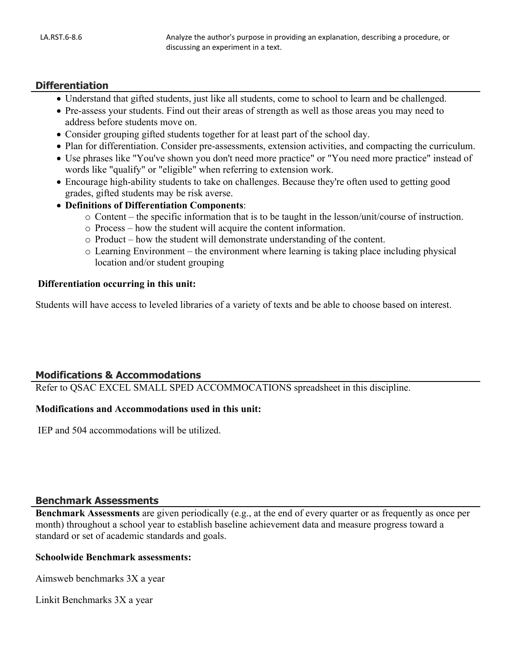#### **Differentiation**

- Understand that gifted students, just like all students, come to school to learn and be challenged.
- Pre-assess your students. Find out their areas of strength as well as those areas you may need to address before students move on.
- Consider grouping gifted students together for at least part of the school day.
- Plan for differentiation. Consider pre-assessments, extension activities, and compacting the curriculum.
- Use phrases like "You've shown you don't need more practice" or "You need more practice" instead of words like "qualify" or "eligible" when referring to extension work.
- Encourage high-ability students to take on challenges. Because they're often used to getting good grades, gifted students may be risk averse.
- **Definitions of Differentiation Components**:
	- o Content the specific information that is to be taught in the lesson/unit/course of instruction.
	- o Process how the student will acquire the content information.
	- o Product how the student will demonstrate understanding of the content.
	- o Learning Environment the environment where learning is taking place including physical location and/or student grouping

#### **Differentiation occurring in this unit:**

Students will have access to leveled libraries of a variety of texts and be able to choose based on interest.

## **Modifications & Accommodations**

Refer to QSAC EXCEL SMALL SPED ACCOMMOCATIONS spreadsheet in this discipline.

#### **Modifications and Accommodations used in this unit:**

IEP and 504 accommodations will be utilized.

## **Benchmark Assessments**

**Benchmark Assessments** are given periodically (e.g., at the end of every quarter or as frequently as once per month) throughout a school year to establish baseline achievement data and measure progress toward a standard or set of academic standards and goals.

#### **Schoolwide Benchmark assessments:**

Aimsweb benchmarks 3X a year

Linkit Benchmarks 3X a year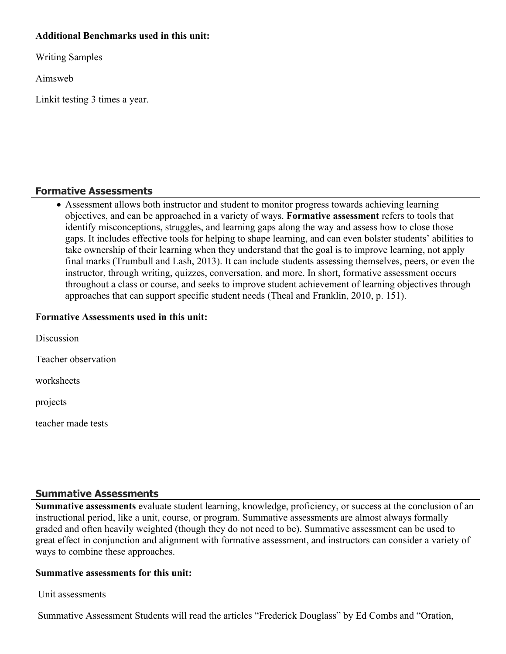## **Additional Benchmarks used in this unit:**

Writing Samples

Aimsweb

Linkit testing 3 times a year.

## **Formative Assessments**

 Assessment allows both instructor and student to monitor progress towards achieving learning objectives, and can be approached in a variety of ways. **Formative assessment** refers to tools that identify misconceptions, struggles, and learning gaps along the way and assess how to close those gaps. It includes effective tools for helping to shape learning, and can even bolster students' abilities to take ownership of their learning when they understand that the goal is to improve learning, not apply final marks (Trumbull and Lash, 2013). It can include students assessing themselves, peers, or even the instructor, through writing, quizzes, conversation, and more. In short, formative assessment occurs throughout a class or course, and seeks to improve student achievement of learning objectives through approaches that can support specific student needs (Theal and Franklin, 2010, p. 151).

## **Formative Assessments used in this unit:**

**Discussion** Teacher observation worksheets projects teacher made tests

## **Summative Assessments**

**Summative assessments** evaluate student learning, knowledge, proficiency, or success at the conclusion of an instructional period, like a unit, course, or program. Summative assessments are almost always formally graded and often heavily weighted (though they do not need to be). Summative assessment can be used to great effect in conjunction and alignment with formative assessment, and instructors can consider a variety of ways to combine these approaches.

## **Summative assessments for this unit:**

Unit assessments

Summative Assessment Students will read the articles "Frederick Douglass" by Ed Combs and "Oration,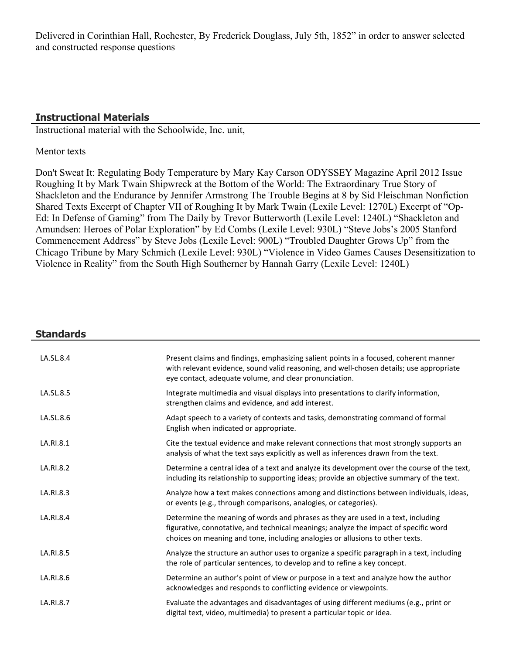Delivered in Corinthian Hall, Rochester, By Frederick Douglass, July 5th, 1852" in order to answer selected and constructed response questions

## **Instructional Materials**

Instructional material with the Schoolwide, Inc. unit,

#### Mentor texts

Don't Sweat It: Regulating Body Temperature by Mary Kay Carson ODYSSEY Magazine April 2012 Issue Roughing It by Mark Twain Shipwreck at the Bottom of the World: The Extraordinary True Story of Shackleton and the Endurance by Jennifer Armstrong The Trouble Begins at 8 by Sid Fleischman Nonfiction Shared Texts Excerpt of Chapter VII of Roughing It by Mark Twain (Lexile Level: 1270L) Excerpt of "Op-Ed: In Defense of Gaming" from The Daily by Trevor Butterworth (Lexile Level: 1240L) "Shackleton and Amundsen: Heroes of Polar Exploration" by Ed Combs (Lexile Level: 930L) "Steve Jobs's 2005 Stanford Commencement Address" by Steve Jobs (Lexile Level: 900L) "Troubled Daughter Grows Up" from the Chicago Tribune by Mary Schmich (Lexile Level: 930L) "Violence in Video Games Causes Desensitization to Violence in Reality" from the South High Southerner by Hannah Garry (Lexile Level: 1240L)

| <b>Standards</b> |                                                                                                                                                                                                                                                           |
|------------------|-----------------------------------------------------------------------------------------------------------------------------------------------------------------------------------------------------------------------------------------------------------|
| LA.SL.8.4        | Present claims and findings, emphasizing salient points in a focused, coherent manner<br>with relevant evidence, sound valid reasoning, and well-chosen details; use appropriate<br>eye contact, adequate volume, and clear pronunciation.                |
| LA.SL.8.5        | Integrate multimedia and visual displays into presentations to clarify information,<br>strengthen claims and evidence, and add interest.                                                                                                                  |
| LA.SL.8.6        | Adapt speech to a variety of contexts and tasks, demonstrating command of formal<br>English when indicated or appropriate.                                                                                                                                |
| LA.RI.8.1        | Cite the textual evidence and make relevant connections that most strongly supports an<br>analysis of what the text says explicitly as well as inferences drawn from the text.                                                                            |
| LA.RI.8.2        | Determine a central idea of a text and analyze its development over the course of the text,<br>including its relationship to supporting ideas; provide an objective summary of the text.                                                                  |
| LA.RI.8.3        | Analyze how a text makes connections among and distinctions between individuals, ideas,<br>or events (e.g., through comparisons, analogies, or categories).                                                                                               |
| LA.RI.8.4        | Determine the meaning of words and phrases as they are used in a text, including<br>figurative, connotative, and technical meanings; analyze the impact of specific word<br>choices on meaning and tone, including analogies or allusions to other texts. |
| LA.RI.8.5        | Analyze the structure an author uses to organize a specific paragraph in a text, including<br>the role of particular sentences, to develop and to refine a key concept.                                                                                   |
| LA.RI.8.6        | Determine an author's point of view or purpose in a text and analyze how the author<br>acknowledges and responds to conflicting evidence or viewpoints.                                                                                                   |
| LA.RI.8.7        | Evaluate the advantages and disadvantages of using different mediums (e.g., print or<br>digital text, video, multimedia) to present a particular topic or idea.                                                                                           |